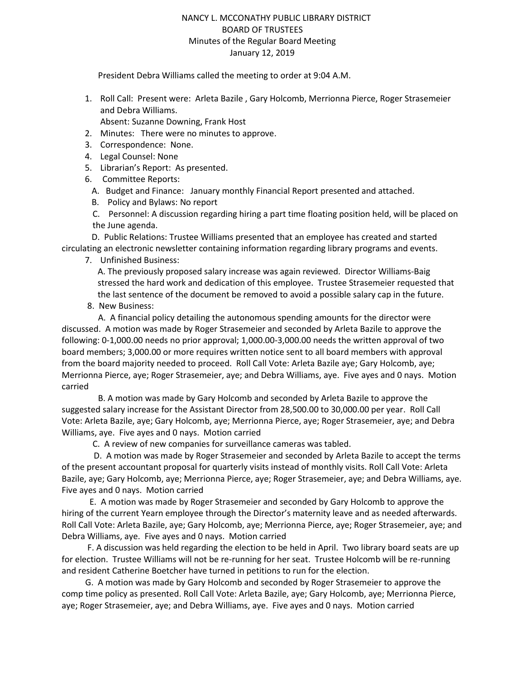### NANCY L. MCCONATHY PUBLIC LIBRARY DISTRICT BOARD OF TRUSTEES Minutes of the Regular Board Meeting January 12, 2019

President Debra Williams called the meeting to order at 9:04 A.M.

- 1. Roll Call: Present were: Arleta Bazile , Gary Holcomb, Merrionna Pierce, Roger Strasemeier and Debra Williams. Absent: Suzanne Downing, Frank Host
- 2. Minutes: There were no minutes to approve.
- 3. Correspondence: None.
- 4. Legal Counsel: None
- 5. Librarian's Report: As presented.
- 6. Committee Reports:
	- A. Budget and Finance: January monthly Financial Report presented and attached.
	- B. Policy and Bylaws: No report
	- C. Personnel: A discussion regarding hiring a part time floating position held, will be placed on the June agenda.

 D. Public Relations: Trustee Williams presented that an employee has created and started circulating an electronic newsletter containing information regarding library programs and events.

7. Unfinished Business:

A. The previously proposed salary increase was again reviewed. Director Williams-Baig stressed the hard work and dedication of this employee. Trustee Strasemeier requested that the last sentence of the document be removed to avoid a possible salary cap in the future.

8. New Business:

 A. A financial policy detailing the autonomous spending amounts for the director were discussed. A motion was made by Roger Strasemeier and seconded by Arleta Bazile to approve the following: 0-1,000.00 needs no prior approval; 1,000.00-3,000.00 needs the written approval of two board members; 3,000.00 or more requires written notice sent to all board members with approval from the board majority needed to proceed. Roll Call Vote: Arleta Bazile aye; Gary Holcomb, aye; Merrionna Pierce, aye; Roger Strasemeier, aye; and Debra Williams, aye. Five ayes and 0 nays. Motion carried

 B. A motion was made by Gary Holcomb and seconded by Arleta Bazile to approve the suggested salary increase for the Assistant Director from 28,500.00 to 30,000.00 per year. Roll Call Vote: Arleta Bazile, aye; Gary Holcomb, aye; Merrionna Pierce, aye; Roger Strasemeier, aye; and Debra Williams, aye. Five ayes and 0 nays. Motion carried

C. A review of new companies for surveillance cameras was tabled.

 D. A motion was made by Roger Strasemeier and seconded by Arleta Bazile to accept the terms of the present accountant proposal for quarterly visits instead of monthly visits. Roll Call Vote: Arleta Bazile, aye; Gary Holcomb, aye; Merrionna Pierce, aye; Roger Strasemeier, aye; and Debra Williams, aye. Five ayes and 0 nays. Motion carried

 E. A motion was made by Roger Strasemeier and seconded by Gary Holcomb to approve the hiring of the current Yearn employee through the Director's maternity leave and as needed afterwards. Roll Call Vote: Arleta Bazile, aye; Gary Holcomb, aye; Merrionna Pierce, aye; Roger Strasemeier, aye; and Debra Williams, aye. Five ayes and 0 nays. Motion carried

 F. A discussion was held regarding the election to be held in April. Two library board seats are up for election. Trustee Williams will not be re-running for her seat. Trustee Holcomb will be re-running and resident Catherine Boetcher have turned in petitions to run for the election.

 G. A motion was made by Gary Holcomb and seconded by Roger Strasemeier to approve the comp time policy as presented. Roll Call Vote: Arleta Bazile, aye; Gary Holcomb, aye; Merrionna Pierce, aye; Roger Strasemeier, aye; and Debra Williams, aye. Five ayes and 0 nays. Motion carried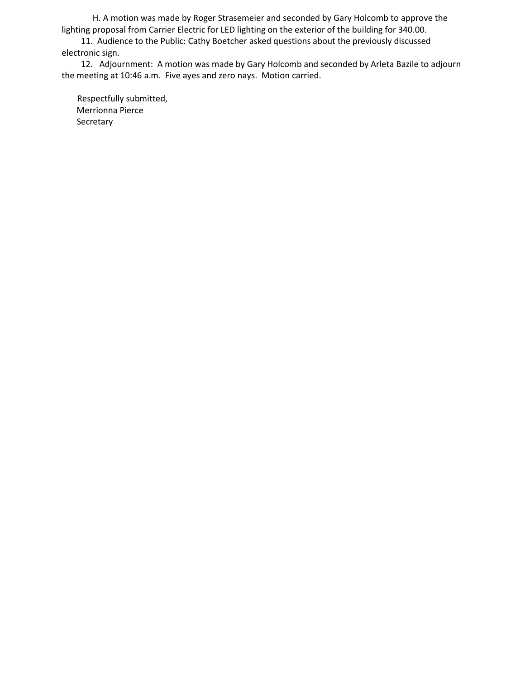H. A motion was made by Roger Strasemeier and seconded by Gary Holcomb to approve the lighting proposal from Carrier Electric for LED lighting on the exterior of the building for 340.00.

 11. Audience to the Public: Cathy Boetcher asked questions about the previously discussed electronic sign.

 12. Adjournment: A motion was made by Gary Holcomb and seconded by Arleta Bazile to adjourn the meeting at 10:46 a.m. Five ayes and zero nays. Motion carried.

Respectfully submitted, Merrionna Pierce Secretary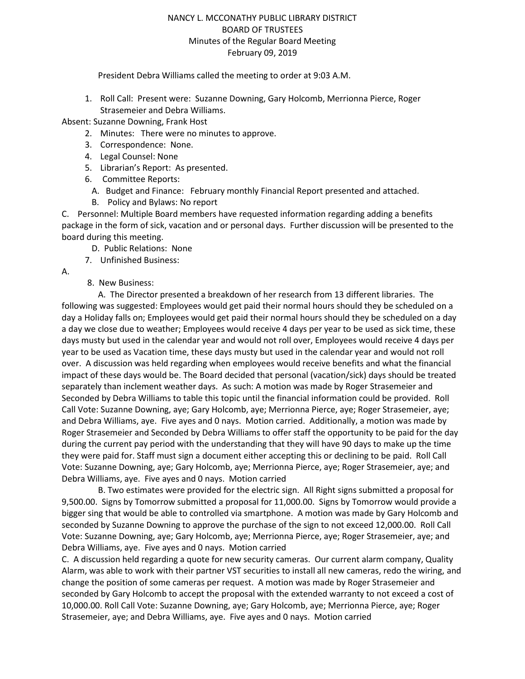### NANCY L. MCCONATHY PUBLIC LIBRARY DISTRICT BOARD OF TRUSTEES Minutes of the Regular Board Meeting February 09, 2019

#### President Debra Williams called the meeting to order at 9:03 A.M.

1. Roll Call: Present were: Suzanne Downing, Gary Holcomb, Merrionna Pierce, Roger Strasemeier and Debra Williams.

Absent: Suzanne Downing, Frank Host

- 2. Minutes: There were no minutes to approve.
- 3. Correspondence: None.
- 4. Legal Counsel: None
- 5. Librarian's Report: As presented.
- 6. Committee Reports:
	- A. Budget and Finance: February monthly Financial Report presented and attached.
	- B. Policy and Bylaws: No report

C. Personnel: Multiple Board members have requested information regarding adding a benefits package in the form of sick, vacation and or personal days. Further discussion will be presented to the board during this meeting.

- D. Public Relations: None
- 7. Unfinished Business:
- A.
- 8. New Business:

 A. The Director presented a breakdown of her research from 13 different libraries. The following was suggested: Employees would get paid their normal hours should they be scheduled on a day a Holiday falls on; Employees would get paid their normal hours should they be scheduled on a day a day we close due to weather; Employees would receive 4 days per year to be used as sick time, these days musty but used in the calendar year and would not roll over, Employees would receive 4 days per year to be used as Vacation time, these days musty but used in the calendar year and would not roll over. A discussion was held regarding when employees would receive benefits and what the financial impact of these days would be. The Board decided that personal (vacation/sick) days should be treated separately than inclement weather days. As such: A motion was made by Roger Strasemeier and Seconded by Debra Williams to table this topic until the financial information could be provided. Roll Call Vote: Suzanne Downing, aye; Gary Holcomb, aye; Merrionna Pierce, aye; Roger Strasemeier, aye; and Debra Williams, aye. Five ayes and 0 nays. Motion carried. Additionally, a motion was made by Roger Strasemeier and Seconded by Debra Williams to offer staff the opportunity to be paid for the day during the current pay period with the understanding that they will have 90 days to make up the time they were paid for. Staff must sign a document either accepting this or declining to be paid. Roll Call Vote: Suzanne Downing, aye; Gary Holcomb, aye; Merrionna Pierce, aye; Roger Strasemeier, aye; and Debra Williams, aye. Five ayes and 0 nays. Motion carried

 B. Two estimates were provided for the electric sign. All Right signs submitted a proposal for 9,500.00. Signs by Tomorrow submitted a proposal for 11,000.00. Signs by Tomorrow would provide a bigger sing that would be able to controlled via smartphone. A motion was made by Gary Holcomb and seconded by Suzanne Downing to approve the purchase of the sign to not exceed 12,000.00. Roll Call Vote: Suzanne Downing, aye; Gary Holcomb, aye; Merrionna Pierce, aye; Roger Strasemeier, aye; and Debra Williams, aye. Five ayes and 0 nays. Motion carried

C. A discussion held regarding a quote for new security cameras. Our current alarm company, Quality Alarm, was able to work with their partner VST securities to install all new cameras, redo the wiring, and change the position of some cameras per request. A motion was made by Roger Strasemeier and seconded by Gary Holcomb to accept the proposal with the extended warranty to not exceed a cost of 10,000.00. Roll Call Vote: Suzanne Downing, aye; Gary Holcomb, aye; Merrionna Pierce, aye; Roger Strasemeier, aye; and Debra Williams, aye. Five ayes and 0 nays. Motion carried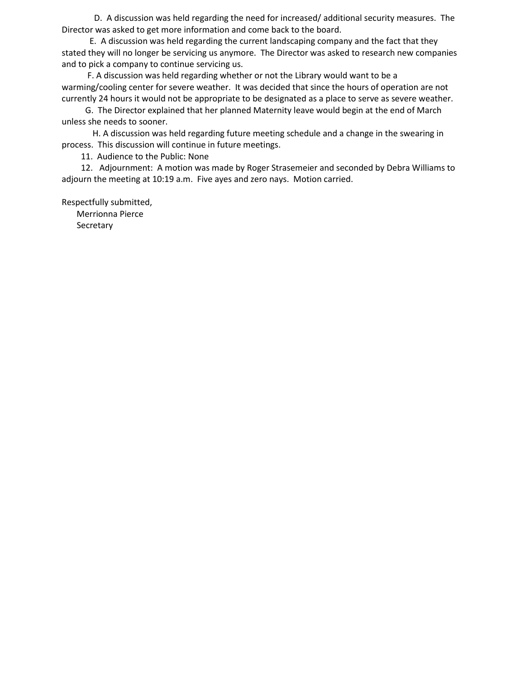D. A discussion was held regarding the need for increased/ additional security measures. The Director was asked to get more information and come back to the board.

 E. A discussion was held regarding the current landscaping company and the fact that they stated they will no longer be servicing us anymore. The Director was asked to research new companies and to pick a company to continue servicing us.

 F. A discussion was held regarding whether or not the Library would want to be a warming/cooling center for severe weather. It was decided that since the hours of operation are not currently 24 hours it would not be appropriate to be designated as a place to serve as severe weather.

 G. The Director explained that her planned Maternity leave would begin at the end of March unless she needs to sooner.

 H. A discussion was held regarding future meeting schedule and a change in the swearing in process. This discussion will continue in future meetings.

11. Audience to the Public: None

 12. Adjournment: A motion was made by Roger Strasemeier and seconded by Debra Williams to adjourn the meeting at 10:19 a.m. Five ayes and zero nays. Motion carried.

Respectfully submitted,

Merrionna Pierce

**Secretary**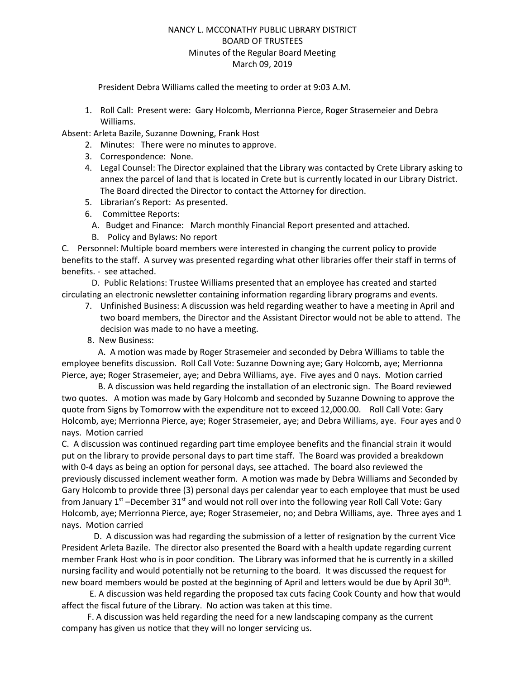# NANCY L. MCCONATHY PUBLIC LIBRARY DISTRICT BOARD OF TRUSTEES Minutes of the Regular Board Meeting March 09, 2019

President Debra Williams called the meeting to order at 9:03 A.M.

1. Roll Call: Present were: Gary Holcomb, Merrionna Pierce, Roger Strasemeier and Debra Williams.

Absent: Arleta Bazile, Suzanne Downing, Frank Host

- 2. Minutes: There were no minutes to approve.
- 3. Correspondence: None.
- 4. Legal Counsel: The Director explained that the Library was contacted by Crete Library asking to annex the parcel of land that is located in Crete but is currently located in our Library District. The Board directed the Director to contact the Attorney for direction.
- 5. Librarian's Report: As presented.
- 6. Committee Reports:
	- A. Budget and Finance: March monthly Financial Report presented and attached.
	- B. Policy and Bylaws: No report

C. Personnel: Multiple board members were interested in changing the current policy to provide benefits to the staff. A survey was presented regarding what other libraries offer their staff in terms of benefits. - see attached.

 D. Public Relations: Trustee Williams presented that an employee has created and started circulating an electronic newsletter containing information regarding library programs and events.

- 7. Unfinished Business: A discussion was held regarding weather to have a meeting in April and two board members, the Director and the Assistant Director would not be able to attend. The decision was made to no have a meeting.
- 8. New Business:

 A. A motion was made by Roger Strasemeier and seconded by Debra Williams to table the employee benefits discussion. Roll Call Vote: Suzanne Downing aye; Gary Holcomb, aye; Merrionna Pierce, aye; Roger Strasemeier, aye; and Debra Williams, aye. Five ayes and 0 nays. Motion carried

 B. A discussion was held regarding the installation of an electronic sign. The Board reviewed two quotes. A motion was made by Gary Holcomb and seconded by Suzanne Downing to approve the quote from Signs by Tomorrow with the expenditure not to exceed 12,000.00. Roll Call Vote: Gary Holcomb, aye; Merrionna Pierce, aye; Roger Strasemeier, aye; and Debra Williams, aye. Four ayes and 0 nays. Motion carried

C. A discussion was continued regarding part time employee benefits and the financial strain it would put on the library to provide personal days to part time staff. The Board was provided a breakdown with 0-4 days as being an option for personal days, see attached. The board also reviewed the previously discussed inclement weather form. A motion was made by Debra Williams and Seconded by Gary Holcomb to provide three (3) personal days per calendar year to each employee that must be used from January  $1^{st}$  –December  $31^{st}$  and would not roll over into the following year Roll Call Vote: Gary Holcomb, aye; Merrionna Pierce, aye; Roger Strasemeier, no; and Debra Williams, aye. Three ayes and 1 nays. Motion carried

 D. A discussion was had regarding the submission of a letter of resignation by the current Vice President Arleta Bazile. The director also presented the Board with a health update regarding current member Frank Host who is in poor condition. The Library was informed that he is currently in a skilled nursing facility and would potentially not be returning to the board. It was discussed the request for new board members would be posted at the beginning of April and letters would be due by April 30<sup>th</sup>.

 E. A discussion was held regarding the proposed tax cuts facing Cook County and how that would affect the fiscal future of the Library. No action was taken at this time.

 F. A discussion was held regarding the need for a new landscaping company as the current company has given us notice that they will no longer servicing us.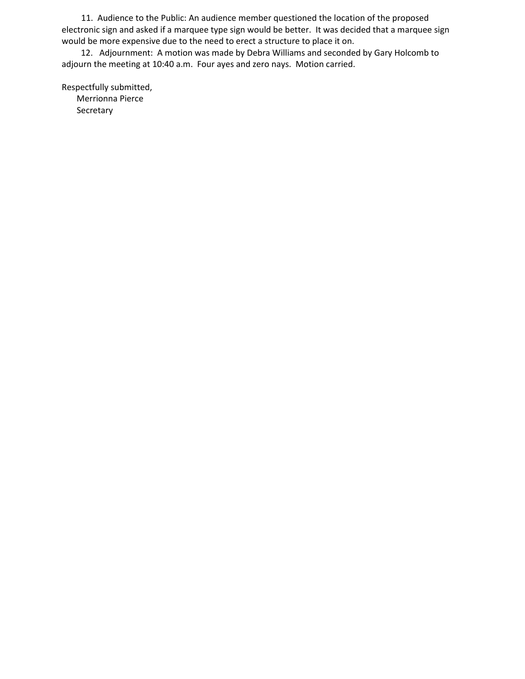11. Audience to the Public: An audience member questioned the location of the proposed electronic sign and asked if a marquee type sign would be better. It was decided that a marquee sign would be more expensive due to the need to erect a structure to place it on.

 12. Adjournment: A motion was made by Debra Williams and seconded by Gary Holcomb to adjourn the meeting at 10:40 a.m. Four ayes and zero nays. Motion carried.

Respectfully submitted, Merrionna Pierce Secretary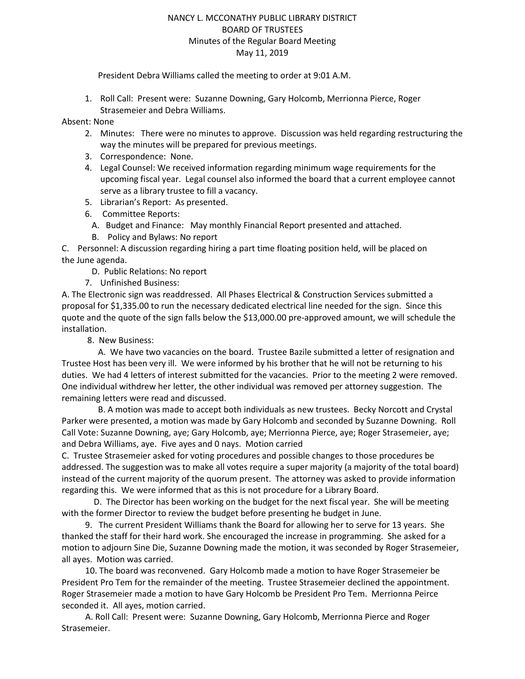### NANCY L. MCCONATHY PUBLIC LIBRARY DISTRICT BOARD OF TRUSTEES Minutes of the Regular Board Meeting May 11, 2019

President Debra Williams called the meeting to order at 9:01 A.M.

1. Roll Call: Present were: Suzanne Downing, Gary Holcomb, Merrionna Pierce, Roger Strasemeier and Debra Williams.

Absent: None

- 2. Minutes: There were no minutes to approve. Discussion was held regarding restructuring the way the minutes will be prepared for previous meetings.
- 3. Correspondence: None.
- 4. Legal Counsel: We received information regarding minimum wage requirements for the upcoming fiscal year. Legal counsel also informed the board that a current employee cannot serve as a library trustee to fill a vacancy.
- 5. Librarian's Report: As presented.
- 6. Committee Reports:
	- A. Budget and Finance: May monthly Financial Report presented and attached.
	- B. Policy and Bylaws: No report

C. Personnel: A discussion regarding hiring a part time floating position held, will be placed on the June agenda.

D. Public Relations: No report

7. Unfinished Business:

A. The Electronic sign was readdressed. All Phases Electrical & Construction Services submitted a proposal for \$1,335.00 to run the necessary dedicated electrical line needed for the sign. Since this quote and the quote of the sign falls below the \$13,000.00 pre-approved amount, we will schedule the installation.

8. New Business:

 A. We have two vacancies on the board. Trustee Bazile submitted a letter of resignation and Trustee Host has been very ill. We were informed by his brother that he will not be returning to his duties. We had 4 letters of interest submitted for the vacancies. Prior to the meeting 2 were removed. One individual withdrew her letter, the other individual was removed per attorney suggestion. The remaining letters were read and discussed.

 B. A motion was made to accept both individuals as new trustees. Becky Norcott and Crystal Parker were presented, a motion was made by Gary Holcomb and seconded by Suzanne Downing. Roll Call Vote: Suzanne Downing, aye; Gary Holcomb, aye; Merrionna Pierce, aye; Roger Strasemeier, aye; and Debra Williams, aye. Five ayes and 0 nays. Motion carried

C. Trustee Strasemeier asked for voting procedures and possible changes to those procedures be addressed. The suggestion was to make all votes require a super majority (a majority of the total board) instead of the current majority of the quorum present. The attorney was asked to provide information regarding this. We were informed that as this is not procedure for a Library Board.

 D. The Director has been working on the budget for the next fiscal year. She will be meeting with the former Director to review the budget before presenting he budget in June.

 9. The current President Williams thank the Board for allowing her to serve for 13 years. She thanked the staff for their hard work. She encouraged the increase in programming. She asked for a motion to adjourn Sine Die, Suzanne Downing made the motion, it was seconded by Roger Strasemeier, all ayes. Motion was carried.

 10. The board was reconvened. Gary Holcomb made a motion to have Roger Strasemeier be President Pro Tem for the remainder of the meeting. Trustee Strasemeier declined the appointment. Roger Strasemeier made a motion to have Gary Holcomb be President Pro Tem. Merrionna Peirce seconded it. All ayes, motion carried.

 A. Roll Call: Present were: Suzanne Downing, Gary Holcomb, Merrionna Pierce and Roger Strasemeier.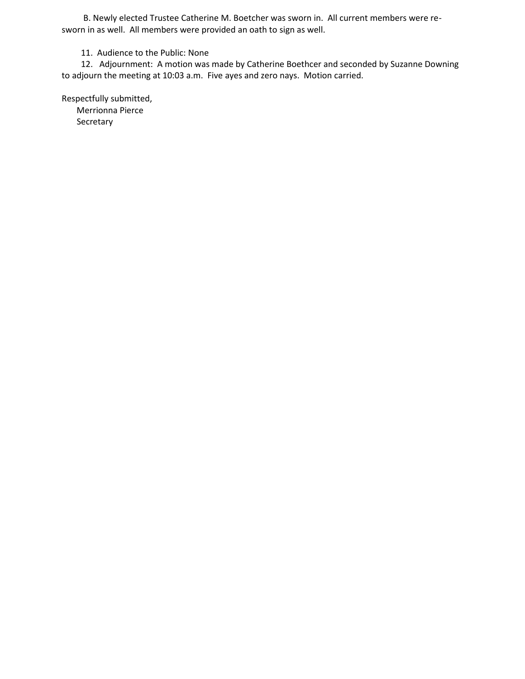B. Newly elected Trustee Catherine M. Boetcher was sworn in. All current members were resworn in as well. All members were provided an oath to sign as well.

11. Audience to the Public: None

 12. Adjournment: A motion was made by Catherine Boethcer and seconded by Suzanne Downing to adjourn the meeting at 10:03 a.m. Five ayes and zero nays. Motion carried.

Respectfully submitted, Merrionna Pierce **Secretary**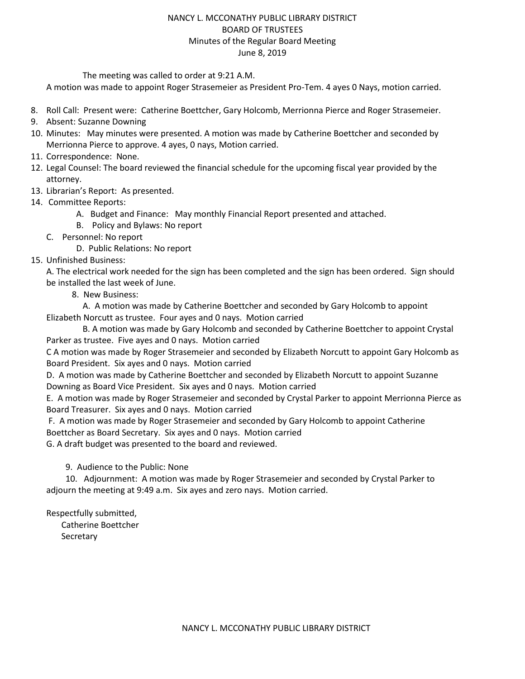### NANCY L. MCCONATHY PUBLIC LIBRARY DISTRICT BOARD OF TRUSTEES Minutes of the Regular Board Meeting June 8, 2019

The meeting was called to order at 9:21 A.M.

A motion was made to appoint Roger Strasemeier as President Pro-Tem. 4 ayes 0 Nays, motion carried.

- 8. Roll Call: Present were: Catherine Boettcher, Gary Holcomb, Merrionna Pierce and Roger Strasemeier.
- 9. Absent: Suzanne Downing
- 10. Minutes: May minutes were presented. A motion was made by Catherine Boettcher and seconded by Merrionna Pierce to approve. 4 ayes, 0 nays, Motion carried.
- 11. Correspondence: None.
- 12. Legal Counsel: The board reviewed the financial schedule for the upcoming fiscal year provided by the attorney.
- 13. Librarian's Report: As presented.
- 14. Committee Reports:
	- A. Budget and Finance: May monthly Financial Report presented and attached.
	- B. Policy and Bylaws: No report
	- C. Personnel: No report

D. Public Relations: No report

15. Unfinished Business:

A. The electrical work needed for the sign has been completed and the sign has been ordered. Sign should be installed the last week of June.

8. New Business:

 A. A motion was made by Catherine Boettcher and seconded by Gary Holcomb to appoint Elizabeth Norcutt as trustee. Four ayes and 0 nays. Motion carried

 B. A motion was made by Gary Holcomb and seconded by Catherine Boettcher to appoint Crystal Parker as trustee. Five ayes and 0 nays. Motion carried

C A motion was made by Roger Strasemeier and seconded by Elizabeth Norcutt to appoint Gary Holcomb as Board President. Six ayes and 0 nays. Motion carried

D. A motion was made by Catherine Boettcher and seconded by Elizabeth Norcutt to appoint Suzanne Downing as Board Vice President. Six ayes and 0 nays. Motion carried

E. A motion was made by Roger Strasemeier and seconded by Crystal Parker to appoint Merrionna Pierce as Board Treasurer. Six ayes and 0 nays. Motion carried

F. A motion was made by Roger Strasemeier and seconded by Gary Holcomb to appoint Catherine Boettcher as Board Secretary. Six ayes and 0 nays. Motion carried

G. A draft budget was presented to the board and reviewed.

9. Audience to the Public: None

 10. Adjournment: A motion was made by Roger Strasemeier and seconded by Crystal Parker to adjourn the meeting at 9:49 a.m. Six ayes and zero nays. Motion carried.

Respectfully submitted,

 Catherine Boettcher Secretary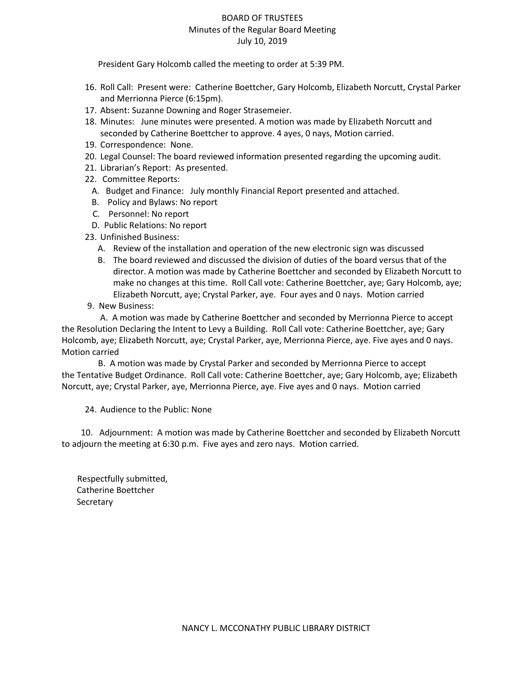## BOARD OF TRUSTEES Minutes of the Regular Board Meeting July 10, 2019

President Gary Holcomb called the meeting to order at 5:39 PM.

- 16. Roll Call: Present were: Catherine Boettcher, Gary Holcomb, Elizabeth Norcutt, Crystal Parker and Merrionna Pierce (6:15pm).
- 17. Absent: Suzanne Downing and Roger Strasemeier.
- 18. Minutes: June minutes were presented. A motion was made by Elizabeth Norcutt and seconded by Catherine Boettcher to approve. 4 ayes, 0 nays, Motion carried.
- 19. Correspondence: None.
- 20. Legal Counsel: The board reviewed information presented regarding the upcoming audit.
- 21. Librarian's Report: As presented.
- 22. Committee Reports:
	- A. Budget and Finance: July monthly Financial Report presented and attached.
	- B. Policy and Bylaws: No report
	- C. Personnel: No report
	- D. Public Relations: No report
- 23. Unfinished Business:
	- A. Review of the installation and operation of the new electronic sign was discussed
	- B. The board reviewed and discussed the division of duties of the board versus that of the director. A motion was made by Catherine Boettcher and seconded by Elizabeth Norcutt to make no changes at this time. Roll Call vote: Catherine Boettcher, aye; Gary Holcomb, aye; Elizabeth Norcutt, aye; Crystal Parker, aye. Four ayes and 0 nays. Motion carried
- 9. New Business:

 A. A motion was made by Catherine Boettcher and seconded by Merrionna Pierce to accept the Resolution Declaring the Intent to Levy a Building. Roll Call vote: Catherine Boettcher, aye; Gary Holcomb, aye; Elizabeth Norcutt, aye; Crystal Parker, aye, Merrionna Pierce, aye. Five ayes and 0 nays. Motion carried

 B. A motion was made by Crystal Parker and seconded by Merrionna Pierce to accept the Tentative Budget Ordinance. Roll Call vote: Catherine Boettcher, aye; Gary Holcomb, aye; Elizabeth Norcutt, aye; Crystal Parker, aye, Merrionna Pierce, aye. Five ayes and 0 nays. Motion carried

24. Audience to the Public: None

 10. Adjournment: A motion was made by Catherine Boettcher and seconded by Elizabeth Norcutt to adjourn the meeting at 6:30 p.m. Five ayes and zero nays. Motion carried.

Respectfully submitted, Catherine Boettcher **Secretary**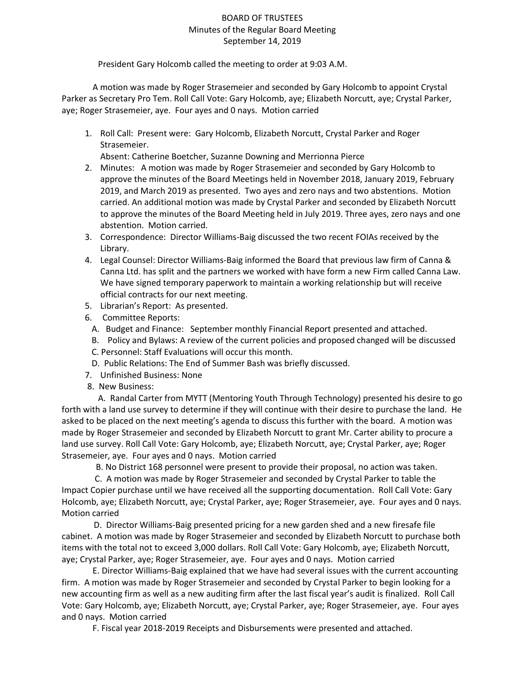# BOARD OF TRUSTEES Minutes of the Regular Board Meeting September 14, 2019

President Gary Holcomb called the meeting to order at 9:03 A.M.

A motion was made by Roger Strasemeier and seconded by Gary Holcomb to appoint Crystal Parker as Secretary Pro Tem. Roll Call Vote: Gary Holcomb, aye; Elizabeth Norcutt, aye; Crystal Parker, aye; Roger Strasemeier, aye. Four ayes and 0 nays. Motion carried

1. Roll Call: Present were: Gary Holcomb, Elizabeth Norcutt, Crystal Parker and Roger Strasemeier.

Absent: Catherine Boetcher, Suzanne Downing and Merrionna Pierce

- 2. Minutes: A motion was made by Roger Strasemeier and seconded by Gary Holcomb to approve the minutes of the Board Meetings held in November 2018, January 2019, February 2019, and March 2019 as presented. Two ayes and zero nays and two abstentions. Motion carried. An additional motion was made by Crystal Parker and seconded by Elizabeth Norcutt to approve the minutes of the Board Meeting held in July 2019. Three ayes, zero nays and one abstention. Motion carried.
- 3. Correspondence: Director Williams-Baig discussed the two recent FOIAs received by the Library.
- 4. Legal Counsel: Director Williams-Baig informed the Board that previous law firm of Canna & Canna Ltd. has split and the partners we worked with have form a new Firm called Canna Law. We have signed temporary paperwork to maintain a working relationship but will receive official contracts for our next meeting.
- 5. Librarian's Report: As presented.
- 6. Committee Reports:
	- A. Budget and Finance: September monthly Financial Report presented and attached.
	- B. Policy and Bylaws: A review of the current policies and proposed changed will be discussed
	- C. Personnel: Staff Evaluations will occur this month.
	- D. Public Relations: The End of Summer Bash was briefly discussed.
- 7. Unfinished Business: None
- 8. New Business:

 A. Randal Carter from MYTT (Mentoring Youth Through Technology) presented his desire to go forth with a land use survey to determine if they will continue with their desire to purchase the land. He asked to be placed on the next meeting's agenda to discuss this further with the board. A motion was made by Roger Strasemeier and seconded by Elizabeth Norcutt to grant Mr. Carter ability to procure a land use survey. Roll Call Vote: Gary Holcomb, aye; Elizabeth Norcutt, aye; Crystal Parker, aye; Roger Strasemeier, aye. Four ayes and 0 nays. Motion carried

B. No District 168 personnel were present to provide their proposal, no action was taken.

C. A motion was made by Roger Strasemeier and seconded by Crystal Parker to table the Impact Copier purchase until we have received all the supporting documentation. Roll Call Vote: Gary Holcomb, aye; Elizabeth Norcutt, aye; Crystal Parker, aye; Roger Strasemeier, aye. Four ayes and 0 nays. Motion carried

 D. Director Williams-Baig presented pricing for a new garden shed and a new firesafe file cabinet. A motion was made by Roger Strasemeier and seconded by Elizabeth Norcutt to purchase both items with the total not to exceed 3,000 dollars. Roll Call Vote: Gary Holcomb, aye; Elizabeth Norcutt, aye; Crystal Parker, aye; Roger Strasemeier, aye. Four ayes and 0 nays. Motion carried

E. Director Williams-Baig explained that we have had several issues with the current accounting firm. A motion was made by Roger Strasemeier and seconded by Crystal Parker to begin looking for a new accounting firm as well as a new auditing firm after the last fiscal year's audit is finalized. Roll Call Vote: Gary Holcomb, aye; Elizabeth Norcutt, aye; Crystal Parker, aye; Roger Strasemeier, aye. Four ayes and 0 nays. Motion carried

F. Fiscal year 2018-2019 Receipts and Disbursements were presented and attached.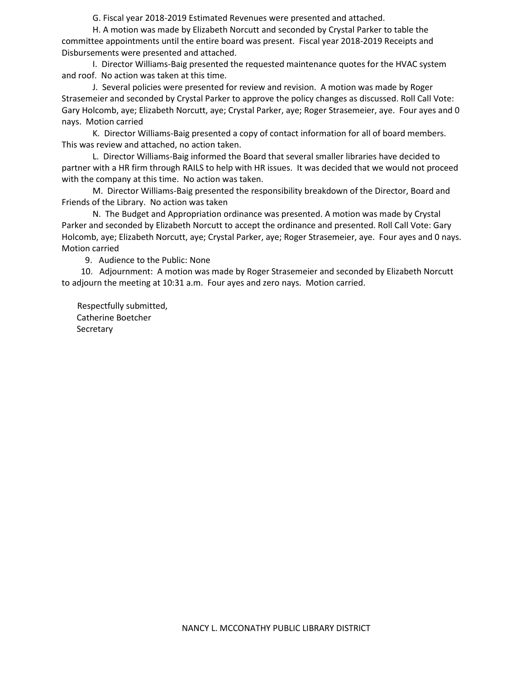G. Fiscal year 2018-2019 Estimated Revenues were presented and attached.

H. A motion was made by Elizabeth Norcutt and seconded by Crystal Parker to table the committee appointments until the entire board was present. Fiscal year 2018-2019 Receipts and Disbursements were presented and attached.

I. Director Williams-Baig presented the requested maintenance quotes for the HVAC system and roof. No action was taken at this time.

J. Several policies were presented for review and revision. A motion was made by Roger Strasemeier and seconded by Crystal Parker to approve the policy changes as discussed. Roll Call Vote: Gary Holcomb, aye; Elizabeth Norcutt, aye; Crystal Parker, aye; Roger Strasemeier, aye. Four ayes and 0 nays. Motion carried

K. Director Williams-Baig presented a copy of contact information for all of board members. This was review and attached, no action taken.

L. Director Williams-Baig informed the Board that several smaller libraries have decided to partner with a HR firm through RAILS to help with HR issues. It was decided that we would not proceed with the company at this time. No action was taken.

M. Director Williams-Baig presented the responsibility breakdown of the Director, Board and Friends of the Library. No action was taken

N. The Budget and Appropriation ordinance was presented. A motion was made by Crystal Parker and seconded by Elizabeth Norcutt to accept the ordinance and presented. Roll Call Vote: Gary Holcomb, aye; Elizabeth Norcutt, aye; Crystal Parker, aye; Roger Strasemeier, aye. Four ayes and 0 nays. Motion carried

9. Audience to the Public: None

 10. Adjournment: A motion was made by Roger Strasemeier and seconded by Elizabeth Norcutt to adjourn the meeting at 10:31 a.m. Four ayes and zero nays. Motion carried.

Respectfully submitted, Catherine Boetcher **Secretary**